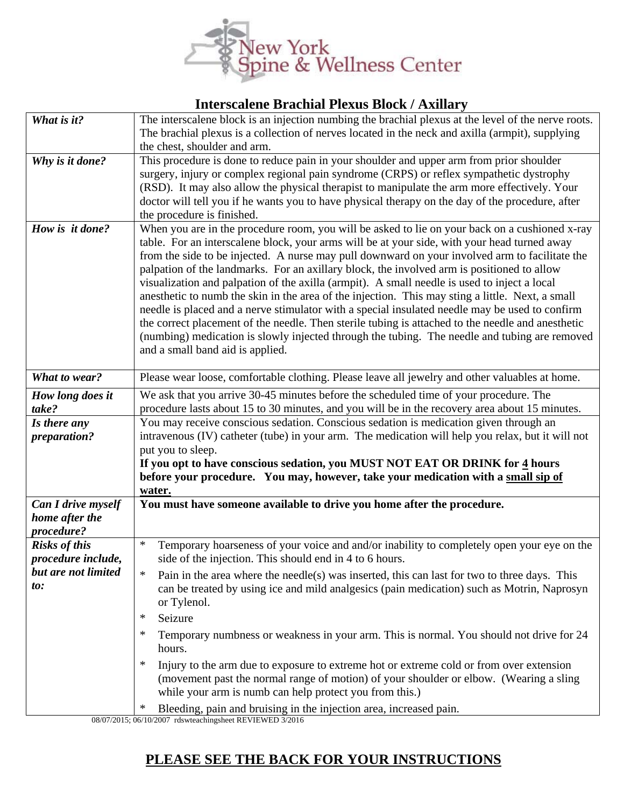

## **Interscalene Brachial Plexus Block / Axillary**

| What is it?                               | The interscalene block is an injection numbing the brachial plexus at the level of the nerve roots.                                                                                      |
|-------------------------------------------|------------------------------------------------------------------------------------------------------------------------------------------------------------------------------------------|
|                                           | The brachial plexus is a collection of nerves located in the neck and axilla (armpit), supplying                                                                                         |
|                                           | the chest, shoulder and arm.                                                                                                                                                             |
| Why is it done?                           | This procedure is done to reduce pain in your shoulder and upper arm from prior shoulder                                                                                                 |
|                                           | surgery, injury or complex regional pain syndrome (CRPS) or reflex sympathetic dystrophy<br>(RSD). It may also allow the physical therapist to manipulate the arm more effectively. Your |
|                                           | doctor will tell you if he wants you to have physical therapy on the day of the procedure, after                                                                                         |
|                                           | the procedure is finished.                                                                                                                                                               |
| How is it done?                           | When you are in the procedure room, you will be asked to lie on your back on a cushioned x-ray                                                                                           |
|                                           | table. For an interscalene block, your arms will be at your side, with your head turned away                                                                                             |
|                                           | from the side to be injected. A nurse may pull downward on your involved arm to facilitate the                                                                                           |
|                                           | palpation of the landmarks. For an axillary block, the involved arm is positioned to allow                                                                                               |
|                                           | visualization and palpation of the axilla (armpit). A small needle is used to inject a local                                                                                             |
|                                           | an an anti-<br>needle is placed and a nerve stimulator with a special insulated needle may be used to confirm                                                                            |
|                                           | the correct placement of the needle. Then sterile tubing is attached to the needle and anesthetic                                                                                        |
|                                           | (numbing) medication is slowly injected through the tubing. The needle and tubing are removed                                                                                            |
|                                           | and a small band aid is applied.                                                                                                                                                         |
|                                           |                                                                                                                                                                                          |
| What to wear?                             | Please wear loose, comfortable clothing. Please leave all jewelry and other valuables at home.                                                                                           |
| How long does it                          | We ask that you arrive 30-45 minutes before the scheduled time of your procedure. The                                                                                                    |
| take?                                     | procedure lasts about 15 to 30 minutes, and you will be in the recovery area about 15 minutes.                                                                                           |
| Is there any                              | You may receive conscious sedation. Conscious sedation is medication given through an                                                                                                    |
| preparation?                              | intravenous (IV) catheter (tube) in your arm. The medication will help you relax, but it will not<br>put you to sleep.                                                                   |
|                                           | If you opt to have conscious sedation, you MUST NOT EAT OR DRINK for 4 hours                                                                                                             |
|                                           | before your procedure. You may, however, take your medication with a small sip of                                                                                                        |
|                                           | water.                                                                                                                                                                                   |
| <b>Can I drive myself</b>                 | You must have someone available to drive you home after the procedure.                                                                                                                   |
| home after the                            |                                                                                                                                                                                          |
| procedure?                                | $\ast$                                                                                                                                                                                   |
| <b>Risks of this</b>                      | Temporary hoarseness of your voice and and/or inability to completely open your eye on the                                                                                               |
| procedure include,<br>but are not limited | side of the injection. This should end in 4 to 6 hours.                                                                                                                                  |
| to:                                       | Pain in the area where the needle(s) was inserted, this can last for two to three days. This<br>∗                                                                                        |
|                                           |                                                                                                                                                                                          |
|                                           | can be treated by using ice and mild analgesics (pain medication) such as Motrin, Naprosyn                                                                                               |
|                                           | or Tylenol.                                                                                                                                                                              |
|                                           | Seizure<br>$\ast$                                                                                                                                                                        |
|                                           | Temporary numbness or weakness in your arm. This is normal. You should not drive for 24<br>$\ast$                                                                                        |
|                                           | hours.<br>∗                                                                                                                                                                              |
|                                           | Injury to the arm due to exposure to extreme hot or extreme cold or from over extension                                                                                                  |
|                                           | (movement past the normal range of motion) of your shoulder or elbow. (Wearing a sling<br>while your arm is numb can help protect you from this.)                                        |
|                                           | $\ast$<br>Bleeding, pain and bruising in the injection area, increased pain.                                                                                                             |

08/07/2015; 06/10/2007 rdswteachingsheet REVIEWED 3/2016

## **PLEASE SEE THE BACK FOR YOUR INSTRUCTIONS**